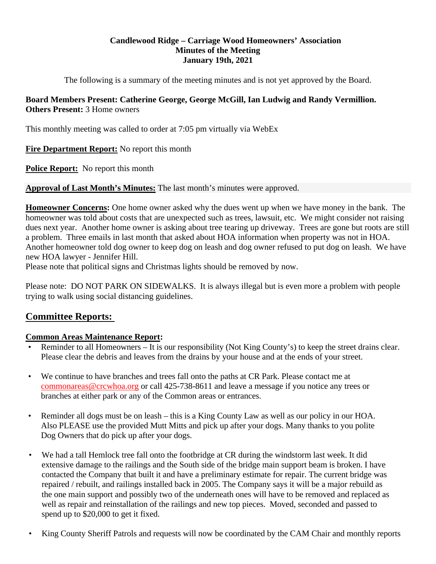## **Candlewood Ridge – Carriage Wood Homeowners' Association Minutes of the Meeting January 19th, 2021**

The following is a summary of the meeting minutes and is not yet approved by the Board.

## **Board Members Present: Catherine George, George McGill, Ian Ludwig and Randy Vermillion. Others Present:** 3 Home owners

This monthly meeting was called to order at 7:05 pm virtually via WebEx

**Fire Department Report:** No report this month

**Police Report:** No report this month

**Approval of Last Month's Minutes:** The last month's minutes were approved.

**Homeowner Concerns:** One home owner asked why the dues went up when we have money in the bank. The homeowner was told about costs that are unexpected such as trees, lawsuit, etc. We might consider not raising dues next year. Another home owner is asking about tree tearing up driveway. Trees are gone but roots are still a problem. Three emails in last month that asked about HOA information when property was not in HOA. Another homeowner told dog owner to keep dog on leash and dog owner refused to put dog on leash. We have new HOA lawyer - Jennifer Hill.

Please note that political signs and Christmas lights should be removed by now.

Please note: DO NOT PARK ON SIDEWALKS. It is always illegal but is even more a problem with people trying to walk using social distancing guidelines.

# **Committee Reports:**

## **Common Areas Maintenance Report:**

- Reminder to all Homeowners It is our responsibility (Not King County's) to keep the street drains clear. Please clear the debris and leaves from the drains by your house and at the ends of your street.
- We continue to have branches and trees fall onto the paths at CR Park. Please contact me at commonareas@crcwhoa.org or call 425-738-8611 and leave a message if you notice any trees or branches at either park or any of the Common areas or entrances.
- Reminder all dogs must be on leash this is a King County Law as well as our policy in our HOA. Also PLEASE use the provided Mutt Mitts and pick up after your dogs. Many thanks to you polite Dog Owners that do pick up after your dogs.
- We had a tall Hemlock tree fall onto the footbridge at CR during the windstorm last week. It did extensive damage to the railings and the South side of the bridge main support beam is broken. I have contacted the Company that built it and have a preliminary estimate for repair. The current bridge was repaired / rebuilt, and railings installed back in 2005. The Company says it will be a major rebuild as the one main support and possibly two of the underneath ones will have to be removed and replaced as well as repair and reinstallation of the railings and new top pieces. Moved, seconded and passed to spend up to \$20,000 to get it fixed.
- King County Sheriff Patrols and requests will now be coordinated by the CAM Chair and monthly reports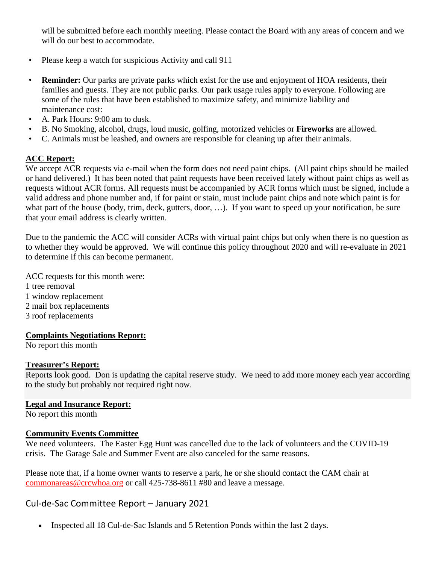will be submitted before each monthly meeting. Please contact the Board with any areas of concern and we will do our best to accommodate.

- Please keep a watch for suspicious Activity and call 911
- **Reminder:** Our parks are private parks which exist for the use and enjoyment of HOA residents, their families and guests. They are not public parks. Our park usage rules apply to everyone. Following are some of the rules that have been established to maximize safety, and minimize liability and maintenance cost:
- A. Park Hours: 9:00 am to dusk.
- B. No Smoking, alcohol, drugs, loud music, golfing, motorized vehicles or **Fireworks** are allowed.
- C. Animals must be leashed, and owners are responsible for cleaning up after their animals.

#### **ACC Report:**

We accept ACR requests via e-mail when the form does not need paint chips. (All paint chips should be mailed or hand delivered.) It has been noted that paint requests have been received lately without paint chips as well as requests without ACR forms. All requests must be accompanied by ACR forms which must be signed, include a valid address and phone number and, if for paint or stain, must include paint chips and note which paint is for what part of the house (body, trim, deck, gutters, door, ...). If you want to speed up your notification, be sure that your email address is clearly written.

Due to the pandemic the ACC will consider ACRs with virtual paint chips but only when there is no question as to whether they would be approved. We will continue this policy throughout 2020 and will re-evaluate in 2021 to determine if this can become permanent.

ACC requests for this month were: 1 tree removal 1 window replacement 2 mail box replacements 3 roof replacements

#### **Complaints Negotiations Report:**

No report this month

#### **Treasurer's Report:**

Reports look good. Don is updating the capital reserve study. We need to add more money each year according to the study but probably not required right now.

#### **Legal and Insurance Report:**

No report this month

#### **Community Events Committee**

We need volunteers. The Easter Egg Hunt was cancelled due to the lack of volunteers and the COVID-19 crisis. The Garage Sale and Summer Event are also canceled for the same reasons.

Please note that, if a home owner wants to reserve a park, he or she should contact the CAM chair at commonareas@crcwhoa.org or call 425-738-8611 #80 and leave a message.

## Cul‐de‐Sac Committee Report – January 2021

Inspected all 18 Cul-de-Sac Islands and 5 Retention Ponds within the last 2 days.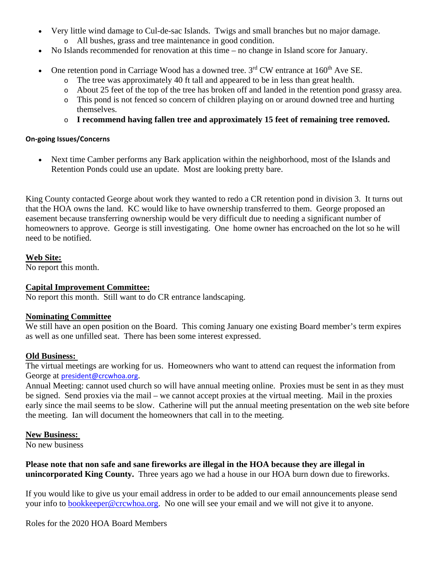- Very little wind damage to Cul-de-sac Islands. Twigs and small branches but no major damage.
	- o All bushes, grass and tree maintenance in good condition.
- No Islands recommended for renovation at this time no change in Island score for January.
- One retention pond in Carriage Wood has a downed tree.  $3<sup>rd</sup>$  CW entrance at 160<sup>th</sup> Ave SE.
	- o The tree was approximately 40 ft tall and appeared to be in less than great health.
	- o About 25 feet of the top of the tree has broken off and landed in the retention pond grassy area.
	- o This pond is not fenced so concern of children playing on or around downed tree and hurting themselves.
	- o **I recommend having fallen tree and approximately 15 feet of remaining tree removed.**

#### **On‐going Issues/Concerns**

 Next time Camber performs any Bark application within the neighborhood, most of the Islands and Retention Ponds could use an update. Most are looking pretty bare.

King County contacted George about work they wanted to redo a CR retention pond in division 3. It turns out that the HOA owns the land. KC would like to have ownership transferred to them. George proposed an easement because transferring ownership would be very difficult due to needing a significant number of homeowners to approve. George is still investigating. One home owner has encroached on the lot so he will need to be notified.

**Web Site:** 

No report this month.

## **Capital Improvement Committee:**

No report this month. Still want to do CR entrance landscaping.

## **Nominating Committee**

We still have an open position on the Board. This coming January one existing Board member's term expires as well as one unfilled seat. There has been some interest expressed.

## **Old Business:**

The virtual meetings are working for us. Homeowners who want to attend can request the information from George at president@crcwhoa.org.

Annual Meeting: cannot used church so will have annual meeting online. Proxies must be sent in as they must be signed. Send proxies via the mail – we cannot accept proxies at the virtual meeting. Mail in the proxies early since the mail seems to be slow. Catherine will put the annual meeting presentation on the web site before the meeting. Ian will document the homeowners that call in to the meeting.

## **New Business:**

No new business

**Please note that non safe and sane fireworks are illegal in the HOA because they are illegal in unincorporated King County.** Three years ago we had a house in our HOA burn down due to fireworks.

If you would like to give us your email address in order to be added to our email announcements please send your info to bookkeeper@crcwhoa.org. No one will see your email and we will not give it to anyone.

Roles for the 2020 HOA Board Members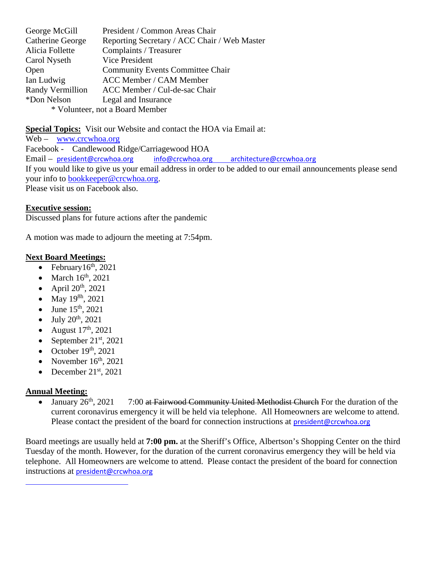| George McGill                   | President / Common Areas Chair               |
|---------------------------------|----------------------------------------------|
| Catherine George                | Reporting Secretary / ACC Chair / Web Master |
| Alicia Follette                 | Complaints / Treasurer                       |
| Carol Nyseth                    | Vice President                               |
| Open                            | <b>Community Events Committee Chair</b>      |
| Ian Ludwig                      | <b>ACC Member / CAM Member</b>               |
| Randy Vermillion                | ACC Member / Cul-de-sac Chair                |
| *Don Nelson                     | Legal and Insurance                          |
| * Volunteer, not a Board Member |                                              |

**Special Topics:** Visit our Website and contact the HOA via Email at: Web – www.crcwhoa.org Facebook - Candlewood Ridge/Carriagewood HOA Email – president@crcwhoa.org info@crcwhoa.org architecture@crcwhoa.org If you would like to give us your email address in order to be added to our email announcements please send your info to bookkeeper@crcwhoa.org. Please visit us on Facebook also.

#### **Executive session:**

Discussed plans for future actions after the pandemic

A motion was made to adjourn the meeting at 7:54pm.

#### **Next Board Meetings:**

- February $16<sup>th</sup>$ , 2021
- $\bullet$  March 16<sup>th</sup>, 2021
- April  $20^{th}$ ,  $2021$
- May 19<sup>8h</sup>, 2021
- June 15<sup>th</sup>, 2021
- July 20th, 2021
- August  $17<sup>th</sup>$ , 2021
- September  $21<sup>st</sup>$ , 2021
- October  $19<sup>th</sup>$ , 2021
- November  $16<sup>th</sup>$ , 2021
- December  $21^{st}$ , 2021

<u> 1990 - Johann Barn, mars eta bainar eta idazlea (</u>

## **Annual Meeting:**

• January  $26<sup>th</sup>$ ,  $2021$  7:00 at Fairwood Community United Methodist Church For the duration of the current coronavirus emergency it will be held via telephone. All Homeowners are welcome to attend. Please contact the president of the board for connection instructions at president@crcwhoa.org

Board meetings are usually held at **7:00 pm.** at the Sheriff's Office, Albertson's Shopping Center on the third Tuesday of the month. However, for the duration of the current coronavirus emergency they will be held via telephone. All Homeowners are welcome to attend. Please contact the president of the board for connection instructions at president@crcwhoa.org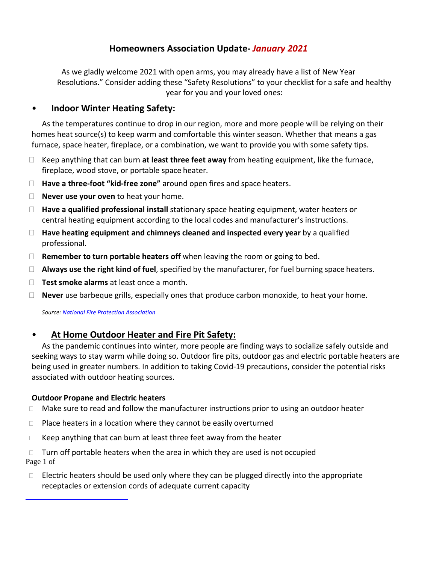# **Homeowners Association Update‐** *January 2021*

As we gladly welcome 2021 with open arms, you may already have a list of New Year Resolutions." Consider adding these "Safety Resolutions" to your checklist for a safe and healthy year for you and your loved ones:

## • **Indoor Winter Heating Safety:**

As the temperatures continue to drop in our region, more and more people will be relying on their homes heat source(s) to keep warm and comfortable this winter season. Whether that means a gas furnace, space heater, fireplace, or a combination, we want to provide you with some safety tips.

- Keep anything that can burn **at least three feet away** from heating equipment, like the furnace, fireplace, wood stove, or portable space heater.
- **Have a three‐foot "kid‐free zone"** around open fires and space heaters.
- **Never use your oven** to heat your home.
- **Have a qualified professional install** stationary space heating equipment, water heaters or central heating equipment according to the local codes and manufacturer's instructions.
- **Have heating equipment and chimneys cleaned and inspected every year** by a qualified professional.
- **Remember to turn portable heaters off** when leaving the room or going to bed.
- **Always use the right kind of fuel**, specified by the manufacturer, for fuel burning space heaters.
- **Test smoke alarms** at least once a month.
- **Never** use barbeque grills, especially ones that produce carbon monoxide, to heat your home.

*Source: National Fire Protection Association*

# • **At Home Outdoor Heater and Fire Pit Safety:**

As the pandemic continues into winter, more people are finding ways to socialize safely outside and seeking ways to stay warm while doing so. Outdoor fire pits, outdoor gas and electric portable heaters are being used in greater numbers. In addition to taking Covid‐19 precautions, consider the potential risks associated with outdoor heating sources.

#### **Outdoor Propane and Electric heaters**

<u> 1990 - Johann Barn, mars eta bainar eta idazlea (</u>

- $\Box$  Make sure to read and follow the manufacturer instructions prior to using an outdoor heater
- $\Box$  Place heaters in a location where they cannot be easily overturned
- $\Box$  Keep anything that can burn at least three feet away from the heater

 $\Box$  Turn off portable heaters when the area in which they are used is not occupied Page 1 of

 $\Box$  Electric heaters should be used only where they can be plugged directly into the appropriate receptacles or extension cords of adequate current capacity